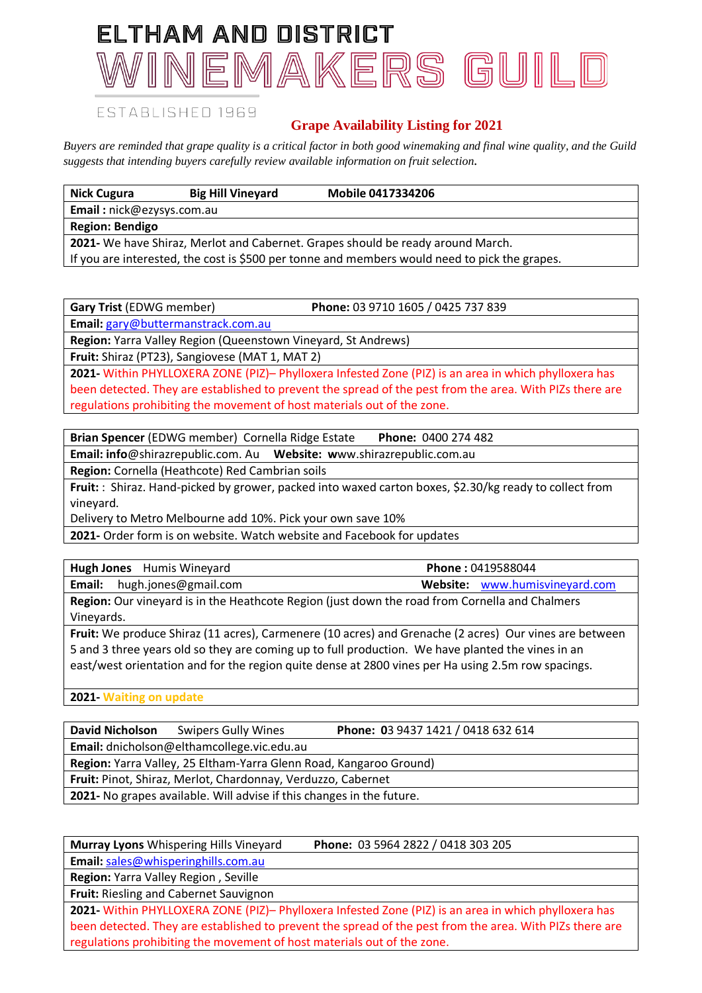# ELTHAM AND DISTRICT NEMAKERS GUIL

### ESTABLISHED 1969

## **Grape Availability Listing for 2021**

*Buyers are reminded that grape quality is a critical factor in both good winemaking and final wine quality, and the Guild suggests that intending buyers carefully review available information on fruit selection.*

| <b>Nick Cugura</b>                                                                            | <b>Big Hill Vineyard</b> | <b>Mobile 0417334206</b> |  |  |
|-----------------------------------------------------------------------------------------------|--------------------------|--------------------------|--|--|
| <b>Email:</b> nick@ezysys.com.au                                                              |                          |                          |  |  |
| <b>Region: Bendigo</b>                                                                        |                          |                          |  |  |
| 2021- We have Shiraz, Merlot and Cabernet. Grapes should be ready around March.               |                          |                          |  |  |
| If you are interested, the cost is \$500 per tonne and members would need to pick the grapes. |                          |                          |  |  |

**Gary Trist** (EDWG member) **Phone:** 03 9710 1605 / 0425 737 839 **Email:** [gary@buttermanstrack.com.au](mailto:gary@buttermanstrack.com.au)

**Region:** Yarra Valley Region (Queenstown Vineyard, St Andrews)

**Fruit:** Shiraz (PT23), Sangiovese (MAT 1, MAT 2)

**2021-** Within PHYLLOXERA ZONE (PIZ)– Phylloxera Infested Zone (PIZ) is an area in which phylloxera has been detected. They are established to prevent the spread of the pest from the area. With PIZs there are regulations prohibiting the movement of host materials out of the zone.

| Brian Spencer (EDWG member) Cornella Ridge Estate<br>Phone: 0400 274 482 |  |
|--------------------------------------------------------------------------|--|
|--------------------------------------------------------------------------|--|

**Email: info**@shirazrepublic.com. Au **Website: w**ww.shirazrepublic.com.au

**Region:** Cornella (Heathcote) Red Cambrian soils

**Fruit:** : Shiraz. Hand-picked by grower, packed into waxed carton boxes, \$2.30/kg ready to collect from vineyard.

Delivery to Metro Melbourne add 10%. Pick your own save 10%

**2021-** Order form is on website. Watch website and Facebook for updates

| <b>Hugh Jones</b> Humis Wineyard                                                                       | Phone: 0419588044              |  |  |  |
|--------------------------------------------------------------------------------------------------------|--------------------------------|--|--|--|
| hugh.jones@gmail.com<br>Email:                                                                         | Website: www.humisvineyard.com |  |  |  |
| <b>Region:</b> Our vineyard is in the Heathcote Region (just down the road from Cornella and Chalmers  |                                |  |  |  |
| Vineyards.                                                                                             |                                |  |  |  |
| Fruit: We produce Shiraz (11 acres), Carmenere (10 acres) and Grenache (2 acres) Our vines are between |                                |  |  |  |

5 and 3 three years old so they are coming up to full production. We have planted the vines in an east/west orientation and for the region quite dense at 2800 vines per Ha using 2.5m row spacings.

**2021- Waiting on update**

| <b>David Nicholson</b>                                                | <b>Swipers Gully Wines</b> | Phone: 03 9437 1421 / 0418 632 614 |  |  |  |
|-----------------------------------------------------------------------|----------------------------|------------------------------------|--|--|--|
| Email: dnicholson@elthamcollege.vic.edu.au                            |                            |                                    |  |  |  |
| Region: Yarra Valley, 25 Eltham-Yarra Glenn Road, Kangaroo Ground)    |                            |                                    |  |  |  |
| Fruit: Pinot, Shiraz, Merlot, Chardonnay, Verduzzo, Cabernet          |                            |                                    |  |  |  |
| 2021- No grapes available. Will advise if this changes in the future. |                            |                                    |  |  |  |
|                                                                       |                            |                                    |  |  |  |

**Murray Lyons** Whispering Hills Vineyard **Phone:** 03 5964 2822 / 0418 303 205

**Email:** [sales@whisperinghills.com.au](mailto:sales@whisperinghills.com.au)

**Region:** Yarra Valley Region , Seville

**Fruit:** Riesling and Cabernet Sauvignon

**2021-** Within PHYLLOXERA ZONE (PIZ)– Phylloxera Infested Zone (PIZ) is an area in which phylloxera has been detected. They are established to prevent the spread of the pest from the area. With PIZs there are regulations prohibiting the movement of host materials out of the zone.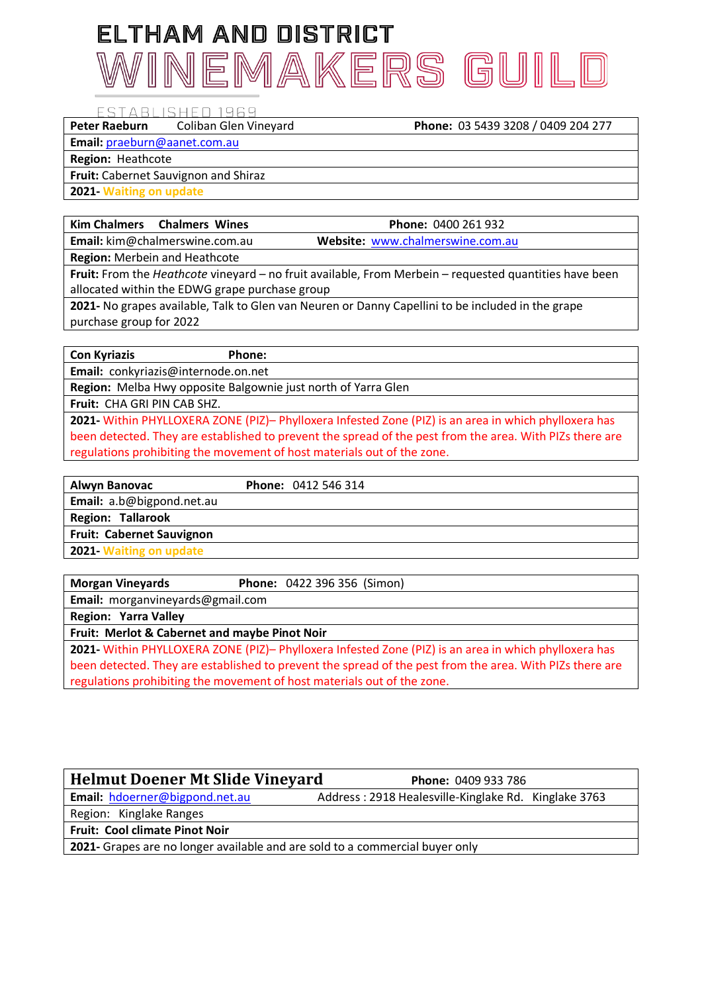# ELTHAM AND DISTRICT INEMAKERS GUILE

#### ESTABLISHED 1969

#### **Peter Raeburn** Coliban Glen Vineyard **Phone:** 03 5439 3208 / 0409 204 277

**Email:** [praeburn@aanet.com.au](mailto:praeburn@aanet.com.au)

**Region:** Heathcote

**Fruit:** Cabernet Sauvignon and Shiraz

**2021- Waiting on update**

### **Kim Chalmers Chalmers Wines Phone:** 0400 261 932

**Email:** kim@chalmerswine.com.au **Website:** [www.chalmerswine.com.au](http://www.chalmerswine.com.au/)

**Region:** Merbein and Heathcote

**Fruit:** From the *Heathcote* vineyard – no fruit available, From Merbein – requested quantities have been allocated within the EDWG grape purchase group

**2021-** No grapes available, Talk to Glen van Neuren or Danny Capellini to be included in the grape purchase group for 2022

### **Con Kyriazis Phone:**

**Email:** conkyriazis@internode.on.net

**Region:** Melba Hwy opposite Balgownie just north of Yarra Glen

**Fruit:** CHA GRI PIN CAB SHZ.

**2021-** Within PHYLLOXERA ZONE (PIZ)– Phylloxera Infested Zone (PIZ) is an area in which phylloxera has been detected. They are established to prevent the spread of the pest from the area. With PIZs there are regulations prohibiting the movement of host materials out of the zone.

| <b>Phone: 0412 546 314</b> |
|----------------------------|
|                            |
|                            |
|                            |
|                            |
|                            |

**Morgan Vineyards Phone:** 0422 396 356 (Simon) **Email:** morganvineyards@gmail.com

**Region: Yarra Valley**

### **Fruit: Merlot & Cabernet and maybe Pinot Noir**

**2021-** Within PHYLLOXERA ZONE (PIZ)– Phylloxera Infested Zone (PIZ) is an area in which phylloxera has been detected. They are established to prevent the spread of the pest from the area. With PIZs there are regulations prohibiting the movement of host materials out of the zone.

## **Helmut Doener Mt Slide Vineyard Phone:** 0409 933 786

Email: [hdoerner@bigpond.net.au](mailto:hdoerner@bigpond.net.au) Address: 2918 Healesville-Kinglake Rd. Kinglake 3763

Region: Kinglake Ranges

**Fruit: Cool climate Pinot Noir**

**2021-** Grapes are no longer available and are sold to a commercial buyer only